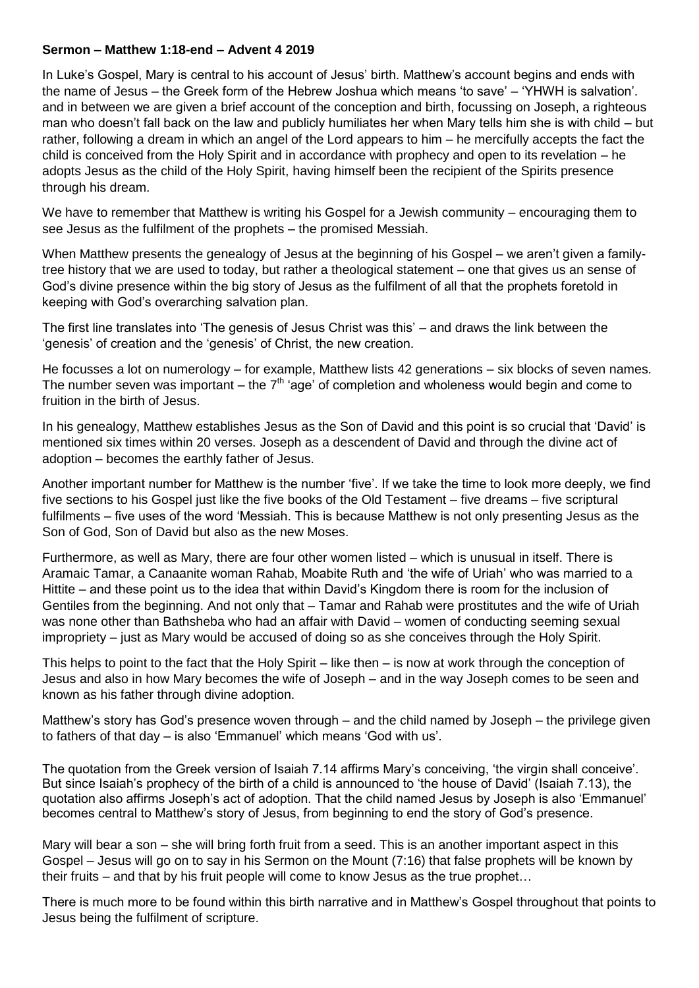## **Sermon – Matthew 1:18-end – Advent 4 2019**

In Luke's Gospel, Mary is central to his account of Jesus' birth. Matthew's account begins and ends with the name of Jesus – the Greek form of the Hebrew Joshua which means 'to save' – 'YHWH is salvation'. and in between we are given a brief account of the conception and birth, focussing on Joseph, a righteous man who doesn't fall back on the law and publicly humiliates her when Mary tells him she is with child – but rather, following a dream in which an angel of the Lord appears to him – he mercifully accepts the fact the child is conceived from the Holy Spirit and in accordance with prophecy and open to its revelation – he adopts Jesus as the child of the Holy Spirit, having himself been the recipient of the Spirits presence through his dream.

We have to remember that Matthew is writing his Gospel for a Jewish community – encouraging them to see Jesus as the fulfilment of the prophets – the promised Messiah.

When Matthew presents the genealogy of Jesus at the beginning of his Gospel – we aren't given a familytree history that we are used to today, but rather a theological statement – one that gives us an sense of God's divine presence within the big story of Jesus as the fulfilment of all that the prophets foretold in keeping with God's overarching salvation plan.

The first line translates into 'The genesis of Jesus Christ was this' – and draws the link between the 'genesis' of creation and the 'genesis' of Christ, the new creation.

He focusses a lot on numerology – for example, Matthew lists 42 generations – six blocks of seven names. The number seven was important – the  $7<sup>th</sup>$  'age' of completion and wholeness would begin and come to fruition in the birth of Jesus.

In his genealogy, Matthew establishes Jesus as the Son of David and this point is so crucial that 'David' is mentioned six times within 20 verses. Joseph as a descendent of David and through the divine act of adoption – becomes the earthly father of Jesus.

Another important number for Matthew is the number 'five'. If we take the time to look more deeply, we find five sections to his Gospel just like the five books of the Old Testament – five dreams – five scriptural fulfilments – five uses of the word 'Messiah. This is because Matthew is not only presenting Jesus as the Son of God, Son of David but also as the new Moses.

Furthermore, as well as Mary, there are four other women listed – which is unusual in itself. There is Aramaic Tamar, a Canaanite woman Rahab, Moabite Ruth and 'the wife of Uriah' who was married to a Hittite – and these point us to the idea that within David's Kingdom there is room for the inclusion of Gentiles from the beginning. And not only that – Tamar and Rahab were prostitutes and the wife of Uriah was none other than Bathsheba who had an affair with David – women of conducting seeming sexual impropriety – just as Mary would be accused of doing so as she conceives through the Holy Spirit.

This helps to point to the fact that the Holy Spirit – like then – is now at work through the conception of Jesus and also in how Mary becomes the wife of Joseph – and in the way Joseph comes to be seen and known as his father through divine adoption.

Matthew's story has God's presence woven through – and the child named by Joseph – the privilege given to fathers of that day – is also 'Emmanuel' which means 'God with us'.

The quotation from the Greek version of Isaiah 7.14 affirms Mary's conceiving, 'the virgin shall conceive'. But since Isaiah's prophecy of the birth of a child is announced to 'the house of David' (Isaiah 7.13), the quotation also affirms Joseph's act of adoption. That the child named Jesus by Joseph is also 'Emmanuel' becomes central to Matthew's story of Jesus, from beginning to end the story of God's presence.

Mary will bear a son – she will bring forth fruit from a seed. This is an another important aspect in this Gospel – Jesus will go on to say in his Sermon on the Mount (7:16) that false prophets will be known by their fruits – and that by his fruit people will come to know Jesus as the true prophet…

There is much more to be found within this birth narrative and in Matthew's Gospel throughout that points to Jesus being the fulfilment of scripture.